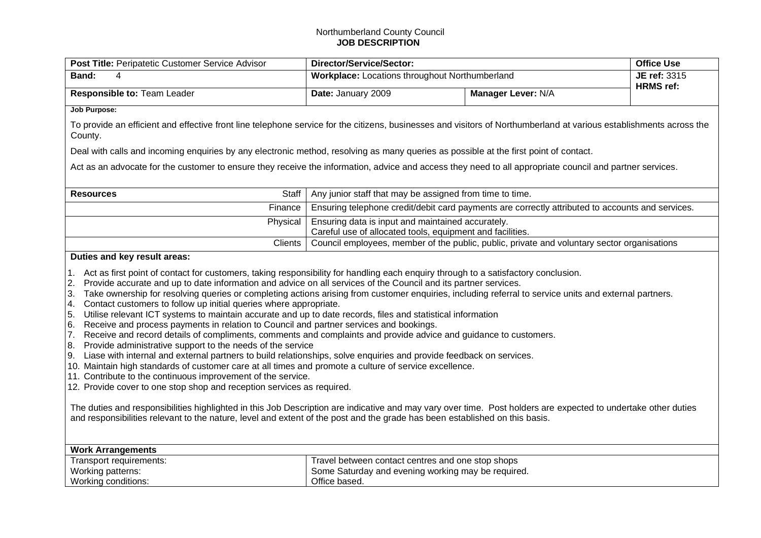## Northumberland County Council **JOB DESCRIPTION**

| Post Title: Peripatetic Customer Service Advisor                                                                                                                                                                                                                                                                                                                                                                                                                                                                                                                                                                                                                                                                                                                                                                                                                                                                                                                                                                                                                                                                                                                                                                                                                                                                                                                                                                                                                                                                                                                                                               | Director/Service/Sector:                                                                                                              |                    | <b>Office Use</b> |  |  |  |  |
|----------------------------------------------------------------------------------------------------------------------------------------------------------------------------------------------------------------------------------------------------------------------------------------------------------------------------------------------------------------------------------------------------------------------------------------------------------------------------------------------------------------------------------------------------------------------------------------------------------------------------------------------------------------------------------------------------------------------------------------------------------------------------------------------------------------------------------------------------------------------------------------------------------------------------------------------------------------------------------------------------------------------------------------------------------------------------------------------------------------------------------------------------------------------------------------------------------------------------------------------------------------------------------------------------------------------------------------------------------------------------------------------------------------------------------------------------------------------------------------------------------------------------------------------------------------------------------------------------------------|---------------------------------------------------------------------------------------------------------------------------------------|--------------------|-------------------|--|--|--|--|
| Band:<br>4                                                                                                                                                                                                                                                                                                                                                                                                                                                                                                                                                                                                                                                                                                                                                                                                                                                                                                                                                                                                                                                                                                                                                                                                                                                                                                                                                                                                                                                                                                                                                                                                     | Workplace: Locations throughout Northumberland                                                                                        |                    | JE ref: 3315      |  |  |  |  |
| Responsible to: Team Leader                                                                                                                                                                                                                                                                                                                                                                                                                                                                                                                                                                                                                                                                                                                                                                                                                                                                                                                                                                                                                                                                                                                                                                                                                                                                                                                                                                                                                                                                                                                                                                                    | Date: January 2009                                                                                                                    | Manager Lever: N/A | <b>HRMS</b> ref:  |  |  |  |  |
| <b>Job Purpose:</b>                                                                                                                                                                                                                                                                                                                                                                                                                                                                                                                                                                                                                                                                                                                                                                                                                                                                                                                                                                                                                                                                                                                                                                                                                                                                                                                                                                                                                                                                                                                                                                                            |                                                                                                                                       |                    |                   |  |  |  |  |
| To provide an efficient and effective front line telephone service for the citizens, businesses and visitors of Northumberland at various establishments across the<br>County.                                                                                                                                                                                                                                                                                                                                                                                                                                                                                                                                                                                                                                                                                                                                                                                                                                                                                                                                                                                                                                                                                                                                                                                                                                                                                                                                                                                                                                 |                                                                                                                                       |                    |                   |  |  |  |  |
|                                                                                                                                                                                                                                                                                                                                                                                                                                                                                                                                                                                                                                                                                                                                                                                                                                                                                                                                                                                                                                                                                                                                                                                                                                                                                                                                                                                                                                                                                                                                                                                                                | Deal with calls and incoming enquiries by any electronic method, resolving as many queries as possible at the first point of contact. |                    |                   |  |  |  |  |
| Act as an advocate for the customer to ensure they receive the information, advice and access they need to all appropriate council and partner services.                                                                                                                                                                                                                                                                                                                                                                                                                                                                                                                                                                                                                                                                                                                                                                                                                                                                                                                                                                                                                                                                                                                                                                                                                                                                                                                                                                                                                                                       |                                                                                                                                       |                    |                   |  |  |  |  |
| Staff<br><b>Resources</b>                                                                                                                                                                                                                                                                                                                                                                                                                                                                                                                                                                                                                                                                                                                                                                                                                                                                                                                                                                                                                                                                                                                                                                                                                                                                                                                                                                                                                                                                                                                                                                                      | Any junior staff that may be assigned from time to time.                                                                              |                    |                   |  |  |  |  |
| Finance                                                                                                                                                                                                                                                                                                                                                                                                                                                                                                                                                                                                                                                                                                                                                                                                                                                                                                                                                                                                                                                                                                                                                                                                                                                                                                                                                                                                                                                                                                                                                                                                        | Ensuring telephone credit/debit card payments are correctly attributed to accounts and services.                                      |                    |                   |  |  |  |  |
| Physical                                                                                                                                                                                                                                                                                                                                                                                                                                                                                                                                                                                                                                                                                                                                                                                                                                                                                                                                                                                                                                                                                                                                                                                                                                                                                                                                                                                                                                                                                                                                                                                                       | Ensuring data is input and maintained accurately.<br>Careful use of allocated tools, equipment and facilities.                        |                    |                   |  |  |  |  |
| Clients                                                                                                                                                                                                                                                                                                                                                                                                                                                                                                                                                                                                                                                                                                                                                                                                                                                                                                                                                                                                                                                                                                                                                                                                                                                                                                                                                                                                                                                                                                                                                                                                        | Council employees, member of the public, public, private and voluntary sector organisations                                           |                    |                   |  |  |  |  |
| 1. Act as first point of contact for customers, taking responsibility for handling each enquiry through to a satisfactory conclusion.<br>Provide accurate and up to date information and advice on all services of the Council and its partner services.<br>2.<br>Take ownership for resolving queries or completing actions arising from customer enquiries, including referral to service units and external partners.<br>3.<br>4.<br>Contact customers to follow up initial queries where appropriate.<br>5.<br>Utilise relevant ICT systems to maintain accurate and up to date records, files and statistical information<br>Receive and process payments in relation to Council and partner services and bookings.<br>6.<br>7.<br>Receive and record details of compliments, comments and complaints and provide advice and guidance to customers.<br>Provide administrative support to the needs of the service<br>8.<br>Liase with internal and external partners to build relationships, solve enquiries and provide feedback on services.<br>9.<br>10. Maintain high standards of customer care at all times and promote a culture of service excellence.<br>11. Contribute to the continuous improvement of the service.<br>12. Provide cover to one stop shop and reception services as required.<br>The duties and responsibilities highlighted in this Job Description are indicative and may vary over time. Post holders are expected to undertake other duties<br>and responsibilities relevant to the nature, level and extent of the post and the grade has been established on this basis. |                                                                                                                                       |                    |                   |  |  |  |  |
| <b>Work Arrangements</b><br>Transport requirements:<br>Working patterns:<br>Working conditions:                                                                                                                                                                                                                                                                                                                                                                                                                                                                                                                                                                                                                                                                                                                                                                                                                                                                                                                                                                                                                                                                                                                                                                                                                                                                                                                                                                                                                                                                                                                | Travel between contact centres and one stop shops<br>Some Saturday and evening working may be required.<br>Office based.              |                    |                   |  |  |  |  |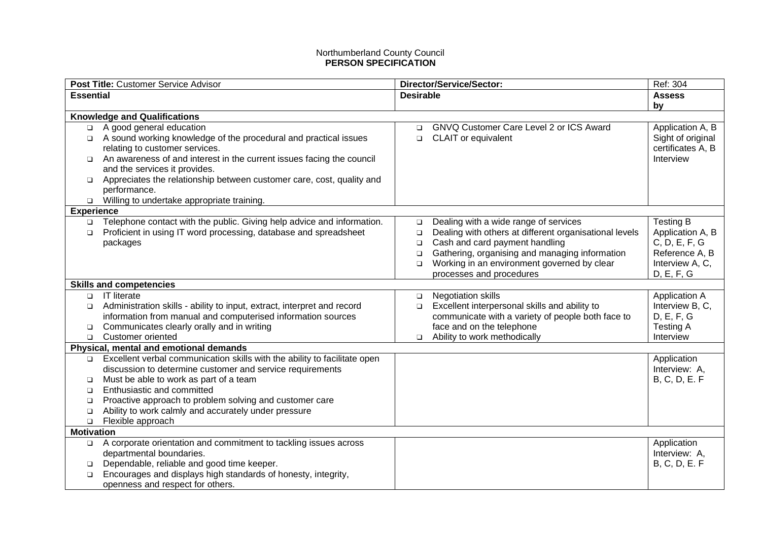## Northumberland County Council **PERSON SPECIFICATION**

|                   | Post Title: Customer Service Advisor                                                                                | Director/Service/Sector:                                         | Ref: 304                      |
|-------------------|---------------------------------------------------------------------------------------------------------------------|------------------------------------------------------------------|-------------------------------|
| <b>Essential</b>  |                                                                                                                     | <b>Desirable</b>                                                 | <b>Assess</b>                 |
|                   |                                                                                                                     |                                                                  | by                            |
|                   | <b>Knowledge and Qualifications</b>                                                                                 |                                                                  |                               |
| $\Box$            | A good general education                                                                                            | GNVQ Customer Care Level 2 or ICS Award<br>$\Box$                | Application A, B              |
| $\Box$            | A sound working knowledge of the procedural and practical issues                                                    | CLAIT or equivalent<br>$\Box$                                    | Sight of original             |
|                   | relating to customer services.                                                                                      |                                                                  | certificates A, B             |
| $\Box$            | An awareness of and interest in the current issues facing the council                                               |                                                                  | Interview                     |
|                   | and the services it provides.                                                                                       |                                                                  |                               |
| $\Box$            | Appreciates the relationship between customer care, cost, quality and                                               |                                                                  |                               |
|                   | performance.                                                                                                        |                                                                  |                               |
| $\Box$            | Willing to undertake appropriate training.                                                                          |                                                                  |                               |
| <b>Experience</b> |                                                                                                                     |                                                                  |                               |
| $\Box$            | Telephone contact with the public. Giving help advice and information.                                              | Dealing with a wide range of services<br>$\Box$                  | <b>Testing B</b>              |
| $\Box$            | Proficient in using IT word processing, database and spreadsheet                                                    | Dealing with others at different organisational levels<br>$\Box$ | Application A, B              |
|                   | packages                                                                                                            | Cash and card payment handling<br>□                              | C, D, E, F, G                 |
|                   |                                                                                                                     | Gathering, organising and managing information<br>$\Box$         | Reference A, B                |
|                   |                                                                                                                     | Working in an environment governed by clear<br>$\Box$            | Interview A, C,               |
|                   |                                                                                                                     | processes and procedures                                         | D, E, F, G                    |
|                   | <b>Skills and competencies</b>                                                                                      |                                                                  |                               |
| $\Box$            | <b>IT literate</b>                                                                                                  | <b>Negotiation skills</b><br>$\Box$                              | <b>Application A</b>          |
| $\Box$            | Administration skills - ability to input, extract, interpret and record                                             | Excellent interpersonal skills and ability to<br>$\Box$          | Interview B, C,               |
|                   | information from manual and computerised information sources                                                        | communicate with a variety of people both face to                | D, E, F, G                    |
| $\Box$            | Communicates clearly orally and in writing<br>Customer oriented                                                     | face and on the telephone                                        | <b>Testing A</b><br>Interview |
| $\Box$            |                                                                                                                     | Ability to work methodically<br>$\Box$                           |                               |
|                   | Physical, mental and emotional demands<br>Excellent verbal communication skills with the ability to facilitate open |                                                                  |                               |
| $\Box$            | discussion to determine customer and service requirements                                                           |                                                                  | Application<br>Interview: A,  |
| □                 | Must be able to work as part of a team                                                                              |                                                                  | <b>B, C, D, E. F</b>          |
| $\Box$            | Enthusiastic and committed                                                                                          |                                                                  |                               |
| $\Box$            | Proactive approach to problem solving and customer care                                                             |                                                                  |                               |
| $\Box$            | Ability to work calmly and accurately under pressure                                                                |                                                                  |                               |
| $\Box$            | Flexible approach                                                                                                   |                                                                  |                               |
| <b>Motivation</b> |                                                                                                                     |                                                                  |                               |
| $\Box$            | A corporate orientation and commitment to tackling issues across                                                    |                                                                  | Application                   |
|                   | departmental boundaries.                                                                                            |                                                                  | Interview: A,                 |
| $\Box$            | Dependable, reliable and good time keeper.                                                                          |                                                                  | <b>B, C, D, E. F</b>          |
| $\Box$            | Encourages and displays high standards of honesty, integrity,                                                       |                                                                  |                               |
|                   | openness and respect for others.                                                                                    |                                                                  |                               |